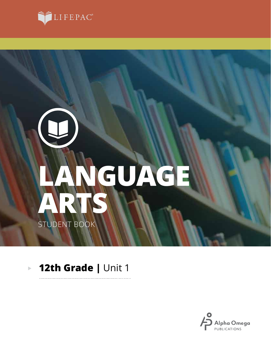

# **ARTS LANGUAGE** STUDENT BOOK

### **12th Grade |** Unit 1 $\blacktriangleright$

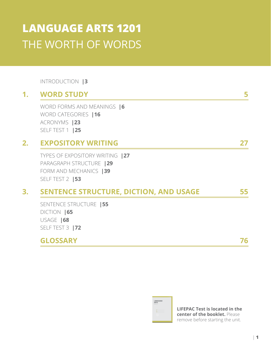# **LANGUAGE ARTS 1201** THE WORTH OF WORDS

INTRODUCTION **|3**

# **1. WORD STUDY 5**

WORD FORMS AND MEANINGS **|6** WORD CATEGORIES **|16** ACRONYMS **|23** SELF TEST 1 **|25**

# **2. EXPOSITORY WRITING 27**

TYPES OF EXPOSITORY WRITING **|27** PARAGRAPH STRUCTURE **|29** FORM AND MECHANICS **|39** SELF TEST 2 **|53**

### **3. SENTENCE STRUCTURE, DICTION, AND USAGE 55**

SENTENCE STRUCTURE **|55** DICTION **|65** USAGE **|68** SELF TEST 3 **|72**

### **GLOSSARY 76**

LANGUAGE

**LIFEPAC Test is located in the center of the booklet.** Please remove before starting the unit.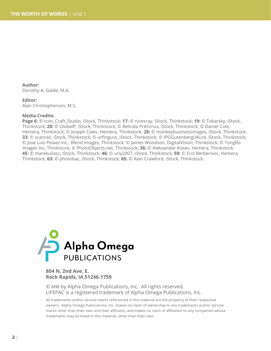**Author:**  Dorothy A. Galde, M.A.

#### **Editor:**

Alan Christopherson, M.S.

#### **Media Credits:**

**Page 6:** © Icon\_Craft\_Studio, iStock, Thinkstock; **17:** © nicexray, iStock, Thinkstock; **19:** © Tokarsky, iStock, Thinkstock; **20:** © GlobalP, iStock, Thinkstock; © Belinda Pretorius, iStock, Thinkstock; © Daniel Cole, Hemera, Thinkstock; © Joseph Calev, Hemera, Thinkstock; **28:** © monkeybusinessimages, iStock, Thinkstock; **33:** © scanrail, iStock, Thinkstock; © urfinguss, iStock, Thinkstock; © IPGGutenbergUKLtd, iStock, Thinkstock; © Jose Luis Pelaez Inc., Blend Images, Thinkstock; © James Woodson, DigitalVision, Thinkstock; © TongRo Images Inc, Thinkstock; © PhotoObjects.net, Thinkstock; **36:** © Aleksandar Kosev, Hemera, Thinkstock; **45:** © marekuliasz, iStock, Thinkstock; **46:** © uriy2007, iStock, Thinkstock; **59:** © Erol Berberovic, Hemera, Thinkstock; **63:** © photobac, iStock, Thinkstock; **65:** © Alan Crawford, iStock, Thinkstock.



### **804 N. 2nd Ave. E. Rock Rapids, IA 51246-1759**

© MM by Alpha Omega Publications, Inc. All rights reserved. LIFEPAC is a registered trademark of Alpha Omega Publications, Inc.

All trademarks and/or service marks referenced in this material are the property of their respective owners. Alpha Omega Publications, Inc. makes no claim of ownership to any trademarks and/or service marks other than their own and their affiliates, and makes no claim of affiliation to any companies whose trademarks may be listed in this material, other than their own.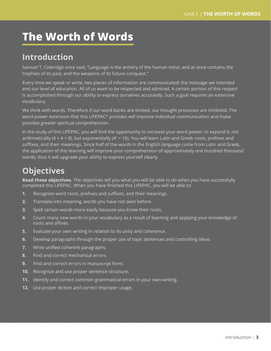# **The Worth of Words**

# **Introduction**

Samuel T. Coleridge once said, "Language is the armory of the human mind, and at once contains the trophies of its past, and the weapons of its future conquest."

Every time we speak or write, two pieces of information are communicated: the message we intended and our level of education. All of us want to be respected and admired. A certain portion of this respect is accomplished through our ability to express ourselves accurately. Such a goal requires an extensive vocabulary.

We think with words. Therefore if our word banks are limited, our thought processes are inhibited. The word-power extension that this LIFEPAC® provides will improve individual communication and make possible greater spiritual comprehension.

In the study of this LIFEPAC, you will find the opportunity to increase your word power; to expand it, not arithmetically (4 + 4 = 8), but exponentially ( $4^2$  = 16). You will learn Latin and Greek roots, prefixes and suffixes, and their meanings. Since half of the words in the English language come from Latin and Greek, the application of this learning will improve your comprehension of approximately one hundred thousand words; thus it will upgrade your ability to express yourself clearly.

# **Objectives**

**Read these objectives.** The objectives tell you what you will be able to do when you have successfully completed this LIFEPAC. When you have finished this LIFEPAC, you will be able to:

- **1.** Recognize word roots, prefixes and suffixes, and their meanings.
- **2.** Translate into meaning, words you have not seen before.
- **3.** Spell certain words more easily because you know their roots.
- **4.** Count many new words in your vocabulary as a result of learning and applying your knowledge of roots and affixes.
- **5.** Evaluate your own writing in relation to its unity and coherence.
- **6.** Develop paragraphs through the proper use of topic sentences and controlling ideas.
- **7.** Write unified coherent paragraphs.
- **8.** Find and correct mechanical errors.
- **9.** Find and correct errors in manuscript form.
- **10.** Recognize and use proper sentence structure.
- **11.** Identify and correct common grammatical errors in your own writing.
- **12.** Use proper diction and correct improper usage.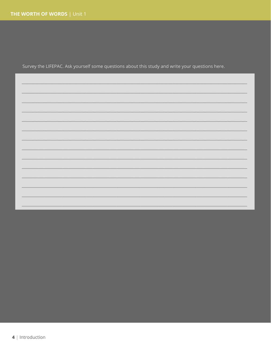Survey the LIFEPAC. Ask yourself some questions about this study and write your questions here.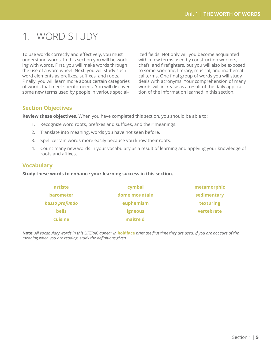# 1. WORD STUDY

To use words correctly and effectively, you must understand words. In this section you will be working with words. First, you will make words through the use of a word wheel. Next, you will study such word elements as prefixes, suffixes, and roots. Finally, you will learn more about certain categories of words that meet specific needs. You will discover some new terms used by people in various specialized fields. Not only will you become acquainted with a few terms used by construction workers, chefs, and firefighters, but you will also be exposed to some scientific, literary, musical, and mathematical terms. One final group of words you will study deals with acronyms. Your comprehension of many words will increase as a result of the daily application of the information learned in this section.

### **Section Objectives**

**Review these objectives.** When you have completed this section, you should be able to:

- 1. Recognize word roots, prefixes and suffixes, and their meanings.
- 2. Translate into meaning, words you have not seen before.
- 3. Spell certain words more easily because you know their roots.
- 4. Count many new words in your vocabulary as a result of learning and applying your knowledge of roots and affixes.

### **Vocabulary**

### **Study these words to enhance your learning success in this section.**

| artiste          | cymbal         | metamorphic |
|------------------|----------------|-------------|
| <b>barometer</b> | dome mountain  | sedimentary |
| basso profundo   | euphemism      | texturing   |
| <b>bells</b>     | <b>igneous</b> | vertebrate  |
| cuisine          | maitre d'      |             |

**Note:** *All vocabulary words in this LIFEPAC appear in* **boldface** *print the first time they are used. If you are not sure of the meaning when you are reading, study the definitions given.*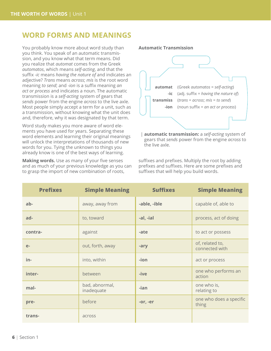### **WORD FORMS AND MEANINGS**

You probably know more about word study than you think. You speak of an automatic transmission, and you know what that term means. Did you realize that *automat* comes from the Greek *automatos*, which means *self-acting*, and that the suffix *-ic* means *having the nature of* and indicates an adjective? *Trans* means *across*; *mis* is the root word meaning *to send*; and *-ion* is a suffix meaning *an act or process* and indicates a noun. The automatic transmission is a *self-acting* system of gears that *sends* power from the engine *across* to the live axle. Most people simply accept a term for a unit, such as a transmission, without knowing what the unit does and, therefore, why it was designated by that term.

Word study makes you more aware of word elements you have used for years. Separating these word elements and learning their original meanings will unlock the interpretations of thousands of new words for you. Tying the unknown to things you already know is one of the best ways of learning.

**Making words.** Use as many of your five senses and as much of your previous knowledge as you can to grasp the import of new combination of roots,



| **automatic transmission:** a *self-acting* system of gears that *sends* power from the engine *across* to the live axle.

suffixes and prefixes. Multiply the root by adding prefixes and suffixes. Here are some prefixes and suffixes that will help you build words.

| <b>Prefixes</b> | <b>Simple Meaning</b>        | <b>Suffixes</b> | <b>Simple Meaning</b>             |
|-----------------|------------------------------|-----------------|-----------------------------------|
| ab-             | away, away from              | -able, -ible    | capable of, able to               |
| ad-             | to, toward                   | -al, -ial       | process, act of doing             |
| contra-         | against                      | -ate            | to act or possess                 |
| $e-$            | out, forth, away             | -ary            | of, related to,<br>connected with |
| in-             | into, within                 | -ion            | act or process                    |
| inter-          | between                      | -ive            | one who performs an<br>action     |
| mal-            | bad, abnormal,<br>inadequate | -ian            | one who is,<br>relating to        |
| pre-            | before                       | $-or, -er$      | one who does a specific<br>thing  |
| trans-          | across                       |                 |                                   |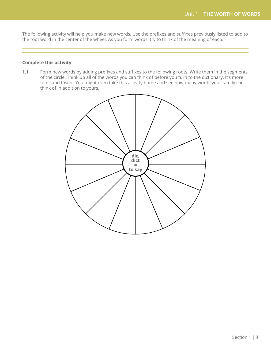The following activity will help you make new words. Use the prefixes and suffixes previously listed to add to the root word in the center of the wheel. As you form words, try to think of the meaning of each.

### **Complete this activity.**

**1.1** Form new words by adding prefixes and suffixes to the following roots. Write them in the segments of the circle. Think up all of the words you can think of before you turn to the dictionary. It's more fun—and faster. You might even take this activity home and see how many words your family can think of in addition to yours.

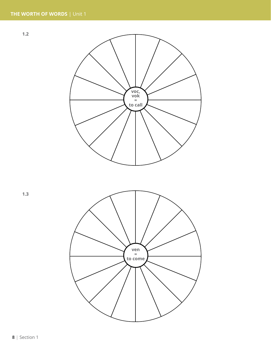**1.2**



**1.3**

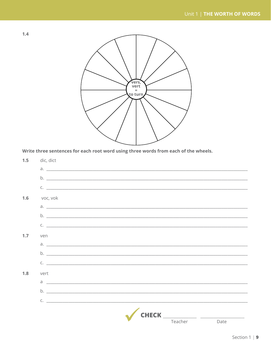



Write three sentences for each root word using three words from each of the wheels.

| 1.5 | dic, dict                                                                                                                                                                                                                                                                                                                                                                            |                                              |      |
|-----|--------------------------------------------------------------------------------------------------------------------------------------------------------------------------------------------------------------------------------------------------------------------------------------------------------------------------------------------------------------------------------------|----------------------------------------------|------|
|     | $a.$ $\overline{\phantom{a}}$                                                                                                                                                                                                                                                                                                                                                        |                                              |      |
|     | $\mathsf{b.}$ $\overline{\phantom{b}}$                                                                                                                                                                                                                                                                                                                                               |                                              |      |
|     | $C.$ $\overline{\phantom{a}}$                                                                                                                                                                                                                                                                                                                                                        |                                              |      |
| 1.6 | voc, vok                                                                                                                                                                                                                                                                                                                                                                             |                                              |      |
|     |                                                                                                                                                                                                                                                                                                                                                                                      |                                              |      |
|     |                                                                                                                                                                                                                                                                                                                                                                                      |                                              |      |
|     | $\mathsf{C}$ . $\qquad \qquad$                                                                                                                                                                                                                                                                                                                                                       |                                              |      |
| 1.7 | ven                                                                                                                                                                                                                                                                                                                                                                                  |                                              |      |
|     |                                                                                                                                                                                                                                                                                                                                                                                      |                                              |      |
|     |                                                                                                                                                                                                                                                                                                                                                                                      |                                              |      |
|     | $C.$ $\qquad \qquad$                                                                                                                                                                                                                                                                                                                                                                 |                                              |      |
| 1.8 | vert                                                                                                                                                                                                                                                                                                                                                                                 |                                              |      |
|     | $\overline{a}$ $\overline{a}$ $\overline{b}$ $\overline{a}$ $\overline{b}$ $\overline{a}$ $\overline{a}$ $\overline{b}$ $\overline{a}$ $\overline{a}$ $\overline{b}$ $\overline{a}$ $\overline{b}$ $\overline{a}$ $\overline{b}$ $\overline{a}$ $\overline{b}$ $\overline{a}$ $\overline{b}$ $\overline{a}$ $\overline{b}$ $\overline{a}$ $\overline{b}$ $\overline{a}$ $\overline{$ |                                              |      |
|     |                                                                                                                                                                                                                                                                                                                                                                                      |                                              |      |
|     | $\mathsf{C}$ . $\qquad \qquad$                                                                                                                                                                                                                                                                                                                                                       |                                              |      |
|     |                                                                                                                                                                                                                                                                                                                                                                                      |                                              |      |
|     |                                                                                                                                                                                                                                                                                                                                                                                      | <b>CHECK</b> ____________ _______<br>Teacher | Date |